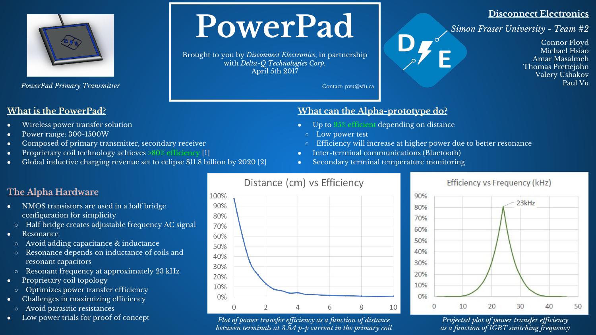

*PowerPad Primary Transmitter*

### **What is the PowerPad?**

- Wireless power transfer solution
- Power range: 300-1500W
- Composed of primary transmitter, secondary receiver
- Proprietary coil technology achieves >80% efficiency [1]
- Global inductive charging revenue set to eclipse  $$11.8$  billion by 2020 [2]

# **PowerPad**

Brought to you by *Disconnect Electronics*, in partnership with *Delta-Q Technologies Corp.* April 5th 2017

Contact: pvu@sfu.ca

### **Disconnect Electronics**

*Simon Fraser University - Team #2*

Connor Floyd Michael Hsiao Amar Masalmeh Thomas Prettejohn Valery Ushakov Paul Vu

### **What can the Alpha-prototype do?**

- $\bullet$  Up to  $95\%$  efficient depending on distance
	- Low power test
	- Efficiency will increase at higher power due to better resonance
- Inter-terminal communications (Bluetooth)
- Secondary terminal temperature monitoring

## **The Alpha Hardware**

- NMOS transistors are used in a half bridge configuration for simplicity
- Half bridge creates adjustable frequency AC signal
- **Resonance**
- Avoid adding capacitance & inductance
- Resonance depends on inductance of coils and resonant capacitors
- Resonant frequency at approximately 23 kHz
- Proprietary coil topology
	- Optimizes power transfer efficiency
- Challenges in maximizing efficiency
	- Avoid parasitic resistances
- Low power trials for proof of concept



#### *Plot of power transfer efficiency as a function of distance between terminals at 3.5A p-p current in the primary coil*

### Efficiency vs Frequency (kHz)



*Projected plot of power transfer efficiency as a function of IGBT switching frequency*

Distance (cm) vs Efficiency